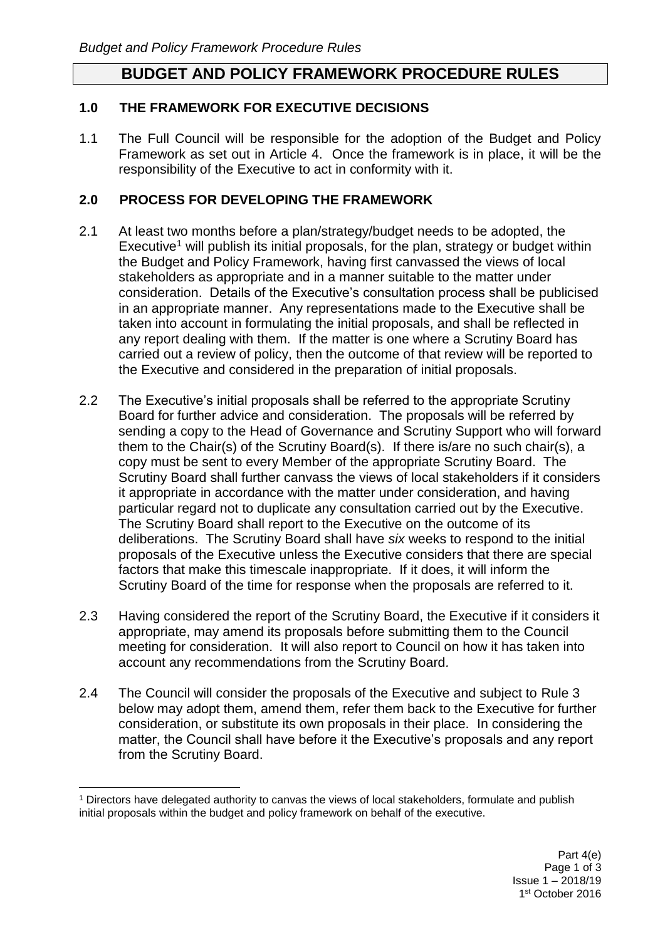## **BUDGET AND POLICY FRAMEWORK PROCEDURE RULES**

### **1.0 THE FRAMEWORK FOR EXECUTIVE DECISIONS**

1.1 The Full Council will be responsible for the adoption of the Budget and Policy Framework as set out in Article 4. Once the framework is in place, it will be the responsibility of the Executive to act in conformity with it.

### **2.0 PROCESS FOR DEVELOPING THE FRAMEWORK**

- 2.1 At least two months before a plan/strategy/budget needs to be adopted, the Executive<sup>1</sup> will publish its initial proposals, for the plan, strategy or budget within the Budget and Policy Framework, having first canvassed the views of local stakeholders as appropriate and in a manner suitable to the matter under consideration. Details of the Executive's consultation process shall be publicised in an appropriate manner. Any representations made to the Executive shall be taken into account in formulating the initial proposals, and shall be reflected in any report dealing with them. If the matter is one where a Scrutiny Board has carried out a review of policy, then the outcome of that review will be reported to the Executive and considered in the preparation of initial proposals.
- 2.2 The Executive's initial proposals shall be referred to the appropriate Scrutiny Board for further advice and consideration. The proposals will be referred by sending a copy to the Head of Governance and Scrutiny Support who will forward them to the Chair(s) of the Scrutiny Board(s). If there is/are no such chair(s), a copy must be sent to every Member of the appropriate Scrutiny Board. The Scrutiny Board shall further canvass the views of local stakeholders if it considers it appropriate in accordance with the matter under consideration, and having particular regard not to duplicate any consultation carried out by the Executive. The Scrutiny Board shall report to the Executive on the outcome of its deliberations. The Scrutiny Board shall have *six* weeks to respond to the initial proposals of the Executive unless the Executive considers that there are special factors that make this timescale inappropriate. If it does, it will inform the Scrutiny Board of the time for response when the proposals are referred to it.
- 2.3 Having considered the report of the Scrutiny Board, the Executive if it considers it appropriate, may amend its proposals before submitting them to the Council meeting for consideration. It will also report to Council on how it has taken into account any recommendations from the Scrutiny Board*.*
- 2.4 The Council will consider the proposals of the Executive and subject to Rule 3 below may adopt them, amend them, refer them back to the Executive for further consideration, or substitute its own proposals in their place. In considering the matter, the Council shall have before it the Executive's proposals and any report from the Scrutiny Board.

 $\overline{a}$ <sup>1</sup> Directors have delegated authority to canvas the views of local stakeholders, formulate and publish initial proposals within the budget and policy framework on behalf of the executive.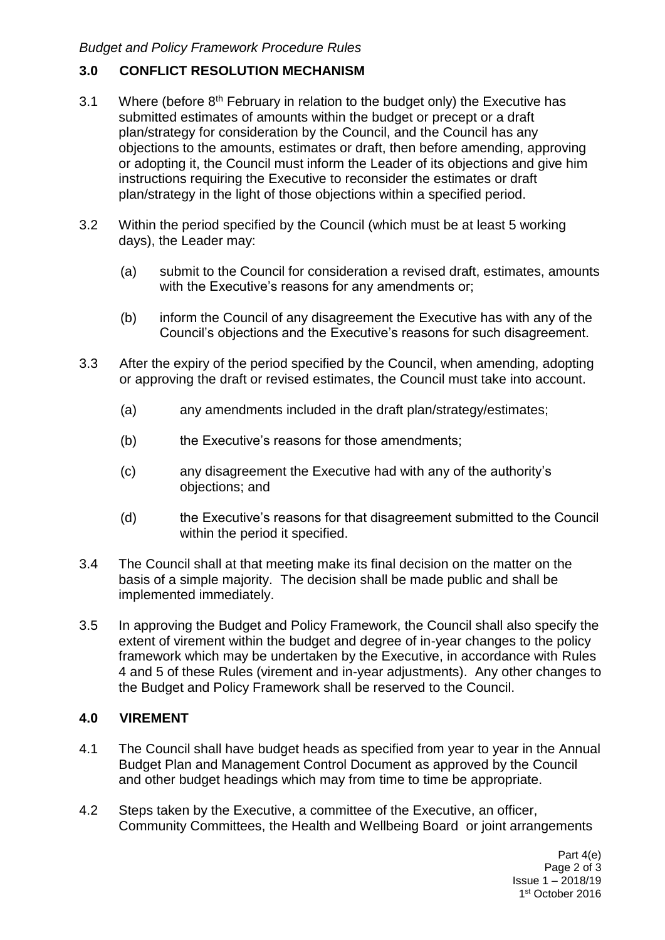# **3.0 CONFLICT RESOLUTION MECHANISM**

- 3.1 Where (before  $8<sup>th</sup>$  February in relation to the budget only) the Executive has submitted estimates of amounts within the budget or precept or a draft plan/strategy for consideration by the Council, and the Council has any objections to the amounts, estimates or draft, then before amending, approving or adopting it, the Council must inform the Leader of its objections and give him instructions requiring the Executive to reconsider the estimates or draft plan/strategy in the light of those objections within a specified period.
- 3.2 Within the period specified by the Council (which must be at least 5 working days), the Leader may:
	- (a) submit to the Council for consideration a revised draft, estimates, amounts with the Executive's reasons for any amendments or;
	- (b) inform the Council of any disagreement the Executive has with any of the Council's objections and the Executive's reasons for such disagreement.
- 3.3 After the expiry of the period specified by the Council, when amending, adopting or approving the draft or revised estimates, the Council must take into account.
	- (a) any amendments included in the draft plan/strategy/estimates;
	- (b) the Executive's reasons for those amendments;
	- (c) any disagreement the Executive had with any of the authority's objections; and
	- (d) the Executive's reasons for that disagreement submitted to the Council within the period it specified.
- 3.4 The Council shall at that meeting make its final decision on the matter on the basis of a simple majority. The decision shall be made public and shall be implemented immediately.
- 3.5 In approving the Budget and Policy Framework, the Council shall also specify the extent of virement within the budget and degree of in-year changes to the policy framework which may be undertaken by the Executive, in accordance with Rules 4 and 5 of these Rules (virement and in-year adjustments). Any other changes to the Budget and Policy Framework shall be reserved to the Council.

## **4.0 VIREMENT**

- 4.1 The Council shall have budget heads as specified from year to year in the Annual Budget Plan and Management Control Document as approved by the Council and other budget headings which may from time to time be appropriate.
- 4.2 Steps taken by the Executive, a committee of the Executive, an officer, Community Committees, the Health and Wellbeing Board or joint arrangements